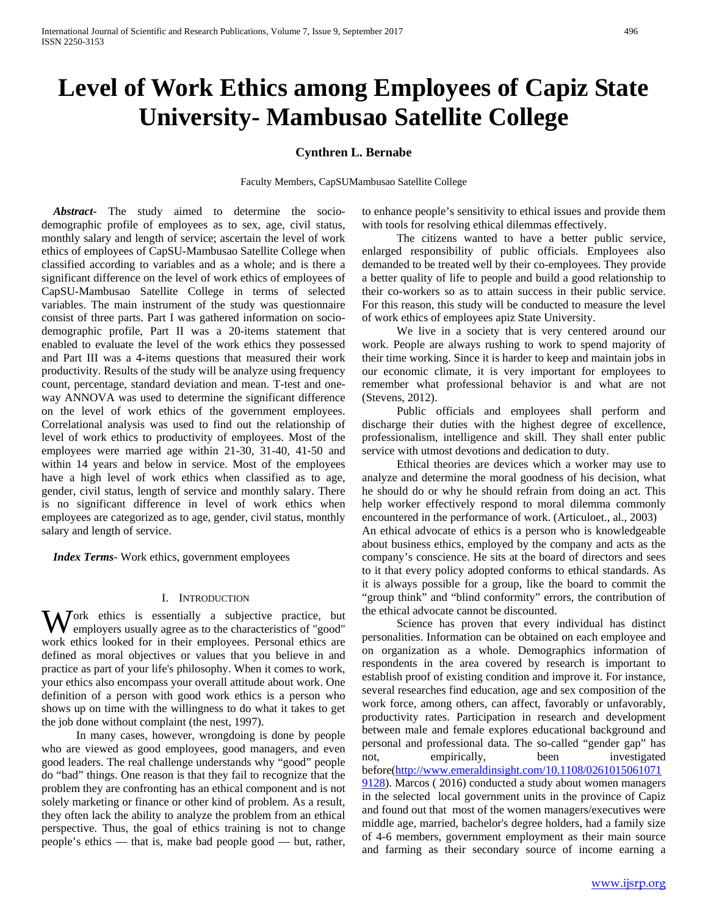# **Level of Work Ethics among Employees of Capiz State University- Mambusao Satellite College**

## **Cynthren L. Bernabe**

Faculty Members, CapSUMambusao Satellite College

 *Abstract***-** The study aimed to determine the sociodemographic profile of employees as to sex, age, civil status, monthly salary and length of service; ascertain the level of work ethics of employees of CapSU-Mambusao Satellite College when classified according to variables and as a whole; and is there a significant difference on the level of work ethics of employees of CapSU-Mambusao Satellite College in terms of selected variables. The main instrument of the study was questionnaire consist of three parts. Part I was gathered information on sociodemographic profile, Part II was a 20-items statement that enabled to evaluate the level of the work ethics they possessed and Part III was a 4-items questions that measured their work productivity. Results of the study will be analyze using frequency count, percentage, standard deviation and mean. T-test and oneway ANNOVA was used to determine the significant difference on the level of work ethics of the government employees. Correlational analysis was used to find out the relationship of level of work ethics to productivity of employees. Most of the employees were married age within 21-30, 31-40, 41-50 and within 14 years and below in service. Most of the employees have a high level of work ethics when classified as to age, gender, civil status, length of service and monthly salary. There is no significant difference in level of work ethics when employees are categorized as to age, gender, civil status, monthly salary and length of service.

 *Index Terms*- Work ethics, government employees

## I. INTRODUCTION

Work ethics is essentially a subjective practice, but employers usually agree as to the characteristics of "good" employers usually agree as to the characteristics of "good" work ethics looked for in their employees. Personal ethics are defined as moral objectives or values that you believe in and practice as part of your life's philosophy. When it comes to work, your ethics also encompass your overall attitude about work. One definition of a person with good work ethics is a person who shows up on time with the willingness to do what it takes to get the job done without complaint (the nest, 1997).

 In many cases, however, wrongdoing is done by people who are viewed as good employees, good managers, and even good leaders. The real challenge understands why "good" people do "bad" things. One reason is that they fail to recognize that the problem they are confronting has an ethical component and is not solely marketing or finance or other kind of problem. As a result, they often lack the ability to analyze the problem from an ethical perspective. Thus, the goal of ethics training is not to change people's ethics — that is, make bad people good — but, rather,

to enhance people's sensitivity to ethical issues and provide them with tools for resolving ethical dilemmas effectively.

 The citizens wanted to have a better public service, enlarged responsibility of public officials. Employees also demanded to be treated well by their co-employees. They provide a better quality of life to people and build a good relationship to their co-workers so as to attain success in their public service. For this reason, this study will be conducted to measure the level of work ethics of employees apiz State University.

 We live in a society that is very centered around our work. People are always rushing to work to spend majority of their time working. Since it is harder to keep and maintain jobs in our economic climate, it is very important for employees to remember what professional behavior is and what are not (Stevens, 2012).

 Public officials and employees shall perform and discharge their duties with the highest degree of excellence, professionalism, intelligence and skill. They shall enter public service with utmost devotions and dedication to duty.

 Ethical theories are devices which a worker may use to analyze and determine the moral goodness of his decision, what he should do or why he should refrain from doing an act. This help worker effectively respond to moral dilemma commonly encountered in the performance of work. (Articuloet., al., 2003) An ethical advocate of ethics is a person who is knowledgeable about business ethics, employed by the company and acts as the company's conscience. He sits at the board of directors and sees to it that every policy adopted conforms to ethical standards. As it is always possible for a group, like the board to commit the "group think" and "blind conformity" errors, the contribution of the ethical advocate cannot be discounted.

 Science has proven that every individual has distinct personalities. Information can be obtained on each employee and on organization as a whole. Demographics information of respondents in the area covered by research is important to establish proof of existing condition and improve it. For instance, several researches find education, age and sex composition of the work force, among others, can affect, favorably or unfavorably, productivity rates. Participation in research and development between male and female explores educational background and personal and professional data. The so-called "gender gap" has not, empirically, been investigated before[\(http://www.emeraldinsight.com/10.1108/0261015061071](http://www.emeraldinsight.com/10.1108/02610150610719128) [9128\)](http://www.emeraldinsight.com/10.1108/02610150610719128). Marcos ( 2016) conducted a study about women managers in the selected local government units in the province of Capiz and found out that most of the women managers/executives were middle age, married, bachelor's degree holders, had a family size of 4-6 members, government employment as their main source and farming as their secondary source of income earning a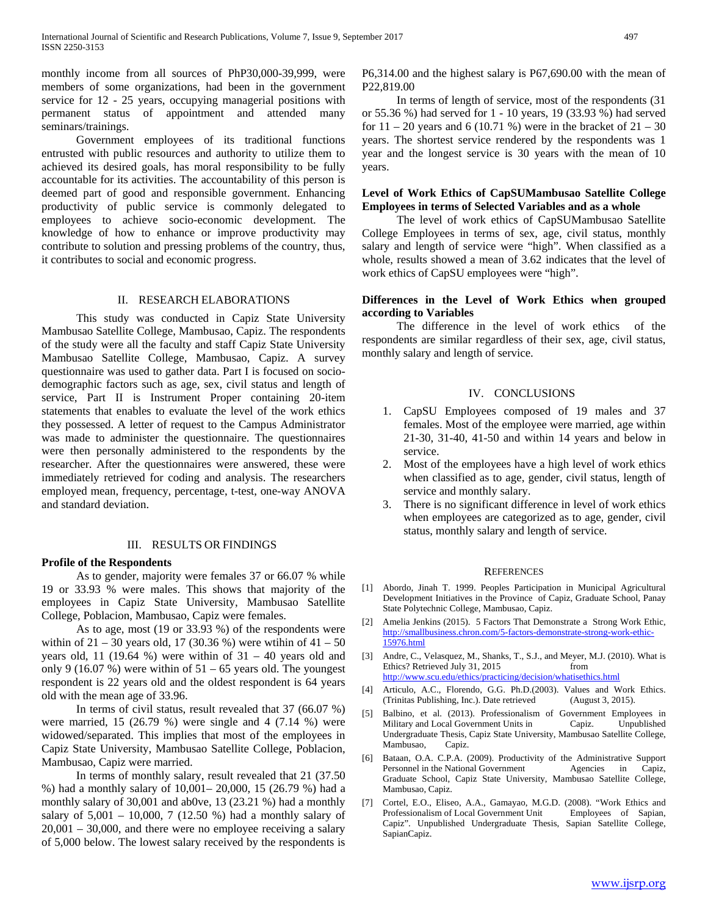monthly income from all sources of PhP30,000-39,999, were members of some organizations, had been in the government service for 12 - 25 years, occupying managerial positions with permanent status of appointment and attended many seminars/trainings.

 Government employees of its traditional functions entrusted with public resources and authority to utilize them to achieved its desired goals, has moral responsibility to be fully accountable for its activities. The accountability of this person is deemed part of good and responsible government. Enhancing productivity of public service is commonly delegated to employees to achieve socio-economic development. The knowledge of how to enhance or improve productivity may contribute to solution and pressing problems of the country, thus, it contributes to social and economic progress.

# II. RESEARCH ELABORATIONS

 This study was conducted in Capiz State University Mambusao Satellite College, Mambusao, Capiz. The respondents of the study were all the faculty and staff Capiz State University Mambusao Satellite College, Mambusao, Capiz. A survey questionnaire was used to gather data. Part I is focused on sociodemographic factors such as age, sex, civil status and length of service, Part II is Instrument Proper containing 20-item statements that enables to evaluate the level of the work ethics they possessed. A letter of request to the Campus Administrator was made to administer the questionnaire. The questionnaires were then personally administered to the respondents by the researcher. After the questionnaires were answered, these were immediately retrieved for coding and analysis. The researchers employed mean, frequency, percentage, t-test, one-way ANOVA and standard deviation.

#### III. RESULTS OR FINDINGS

## **Profile of the Respondents**

 As to gender, majority were females 37 or 66.07 % while 19 or 33.93 % were males. This shows that majority of the employees in Capiz State University, Mambusao Satellite College, Poblacion, Mambusao, Capiz were females.

 As to age, most (19 or 33.93 %) of the respondents were within of  $21 - 30$  years old, 17 (30.36 %) were wtihin of  $41 - 50$ years old, 11 (19.64 %) were within of  $31 - 40$  years old and only 9 (16.07 %) were within of  $51 - 65$  years old. The youngest respondent is 22 years old and the oldest respondent is 64 years old with the mean age of 33.96.

 In terms of civil status, result revealed that 37 (66.07 %) were married, 15 (26.79 %) were single and 4 (7.14 %) were widowed/separated. This implies that most of the employees in Capiz State University, Mambusao Satellite College, Poblacion, Mambusao, Capiz were married.

 In terms of monthly salary, result revealed that 21 (37.50 %) had a monthly salary of 10,001– 20,000, 15 (26.79 %) had a monthly salary of 30,001 and ab0ve, 13 (23.21 %) had a monthly salary of  $5,001 - 10,000$ ,  $7$  (12.50 %) had a monthly salary of 20,001 – 30,000, and there were no employee receiving a salary of 5,000 below. The lowest salary received by the respondents is P6,314.00 and the highest salary is P67,690.00 with the mean of P22,819.00

 In terms of length of service, most of the respondents (31 or 55.36 %) had served for 1 - 10 years, 19 (33.93 %) had served for  $11 - 20$  years and 6 (10.71 %) were in the bracket of  $21 - 30$ years. The shortest service rendered by the respondents was 1 year and the longest service is 30 years with the mean of 10 years.

## **Level of Work Ethics of CapSUMambusao Satellite College Employees in terms of Selected Variables and as a whole**

 The level of work ethics of CapSUMambusao Satellite College Employees in terms of sex, age, civil status, monthly salary and length of service were "high". When classified as a whole, results showed a mean of 3.62 indicates that the level of work ethics of CapSU employees were "high".

## **Differences in the Level of Work Ethics when grouped according to Variables**

 The difference in the level of work ethics of the respondents are similar regardless of their sex, age, civil status, monthly salary and length of service.

## IV. CONCLUSIONS

- 1. CapSU Employees composed of 19 males and 37 females. Most of the employee were married, age within 21-30, 31-40, 41-50 and within 14 years and below in service.
- 2. Most of the employees have a high level of work ethics when classified as to age, gender, civil status, length of service and monthly salary.
- 3. There is no significant difference in level of work ethics when employees are categorized as to age, gender, civil status, monthly salary and length of service.

#### **REFERENCES**

- [1] Abordo, Jinah T. 1999. Peoples Participation in Municipal Agricultural Development Initiatives in the Province of Capiz, Graduate School, Panay State Polytechnic College, Mambusao, Capiz.
- [2] Amelia Jenkins (2015). 5 Factors That Demonstrate a Strong Work Ethic, [http://smallbusiness.chron.com/5-factors-demonstrate-strong-work-ethic-](http://smallbusiness.chron.com/5-factors-demonstrate-strong-work-ethic-15976.html)[15976.html](http://smallbusiness.chron.com/5-factors-demonstrate-strong-work-ethic-15976.html)
- [3] Andre, C., Velasquez, M., Shanks, T., S.J., and Meyer, M.J. (2010). What is Ethics? Retrieved July 31, 2015 from <http://www.scu.edu/ethics/practicing/decision/whatisethics.html>
- [4] Articulo, A.C., Florendo, G.G. Ph.D.(2003). Values and Work Ethics. (Trinitas Publishing, Inc.). Date retrieved (August 3, 2015).
- [5] Balbino, et al. (2013). Professionalism of Government Employees in Military and Local Government Units in Capiz. Undergraduate Thesis, Capiz State University, Mambusao Satellite College, Mambusao, Capiz.
- [6] Bataan, O.A. C.P.A. (2009). Productivity of the Administrative Support Personnel in the National Government Agencies in Capiz, Graduate School, Capiz State University, Mambusao Satellite College, Mambusao, Capiz.
- [7] Cortel, E.O., Eliseo, A.A., Gamayao, M.G.D. (2008). "Work Ethics and Professionalism of Local Government Unit Capiz". Unpublished Undergraduate Thesis, Sapian Satellite College, SapianCapiz.